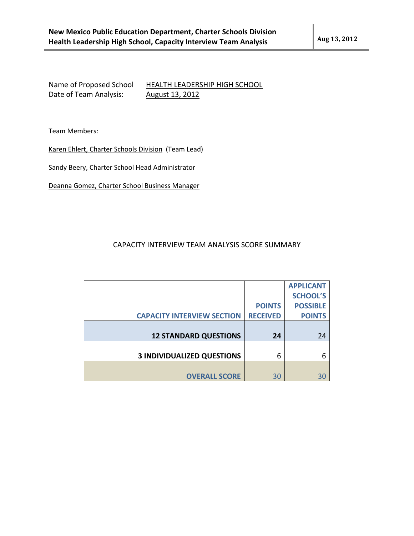Name of Proposed School HEALTH LEADERSHIP HIGH SCHOOL Date of Team Analysis: August 13, 2012

Team Members:

Karen Ehlert, Charter Schools Division (Team Lead)

Sandy Beery, Charter School Head Administrator

Deanna Gomez, Charter School Business Manager

## CAPACITY INTERVIEW TEAM ANALYSIS SCORE SUMMARY

|                                   |                 | <b>APPLICANT</b> |
|-----------------------------------|-----------------|------------------|
|                                   |                 | <b>SCHOOL'S</b>  |
|                                   | <b>POINTS</b>   | <b>POSSIBLE</b>  |
| <b>CAPACITY INTERVIEW SECTION</b> | <b>RECEIVED</b> | <b>POINTS</b>    |
|                                   |                 |                  |
| <b>12 STANDARD QUESTIONS</b>      | 24              | 24               |
|                                   |                 |                  |
| <b>3 INDIVIDUALIZED QUESTIONS</b> | 6               |                  |
|                                   |                 |                  |
|                                   |                 |                  |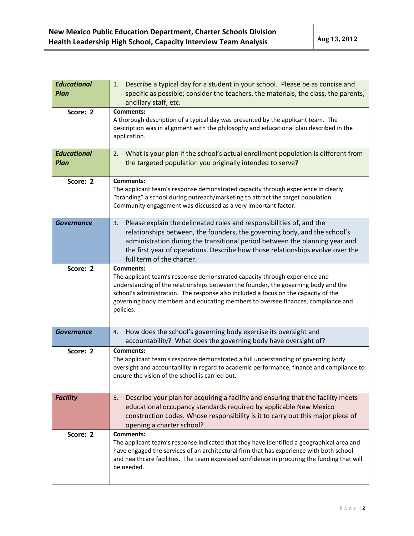| <b>Educational</b><br><b>Plan</b> | Describe a typical day for a student in your school. Please be as concise and<br>1.<br>specific as possible; consider the teachers, the materials, the class, the parents,<br>ancillary staff, etc.                                                                                                                                                                         |
|-----------------------------------|-----------------------------------------------------------------------------------------------------------------------------------------------------------------------------------------------------------------------------------------------------------------------------------------------------------------------------------------------------------------------------|
| Score: 2                          | <b>Comments:</b><br>A thorough description of a typical day was presented by the applicant team. The<br>description was in alignment with the philosophy and educational plan described in the<br>application.                                                                                                                                                              |
| <b>Educational</b><br><b>Plan</b> | What is your plan if the school's actual enrollment population is different from<br>2.<br>the targeted population you originally intended to serve?                                                                                                                                                                                                                         |
| Score: 2                          | <b>Comments:</b><br>The applicant team's response demonstrated capacity through experience in clearly<br>"branding" a school during outreach/marketing to attract the target population.<br>Community engagement was discussed as a very important factor.                                                                                                                  |
| Governance                        | Please explain the delineated roles and responsibilities of, and the<br>3.<br>relationships between, the founders, the governing body, and the school's<br>administration during the transitional period between the planning year and<br>the first year of operations. Describe how those relationships evolve over the<br>full term of the charter.                       |
| Score: 2                          | <b>Comments:</b><br>The applicant team's response demonstrated capacity through experience and<br>understanding of the relationships between the founder, the governing body and the<br>school's administration. The response also included a focus on the capacity of the<br>governing body members and educating members to oversee finances, compliance and<br>policies. |
| <b>Governance</b>                 | How does the school's governing body exercise its oversight and<br>4.<br>accountability? What does the governing body have oversight of?                                                                                                                                                                                                                                    |
| Score: 2                          | <b>Comments:</b><br>The applicant team's response demonstrated a full understanding of governing body<br>oversight and accountability in regard to academic performance, finance and compliance to<br>ensure the vision of the school is carried out.                                                                                                                       |
| <b>Facility</b>                   | Describe your plan for acquiring a facility and ensuring that the facility meets<br>5.<br>educational occupancy standards required by applicable New Mexico<br>construction codes. Whose responsibility is it to carry out this major piece of<br>opening a charter school?                                                                                                 |
| Score: 2                          | Comments:<br>The applicant team's response indicated that they have identified a geographical area and<br>have engaged the services of an architectural firm that has experience with both school<br>and healthcare facilities. The team expressed confidence in procuring the funding that will<br>be needed.                                                              |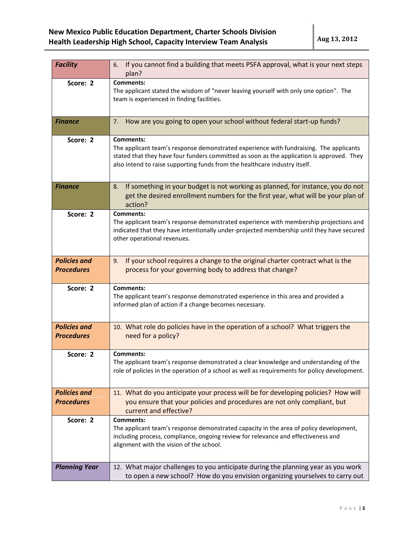| <b>Facility</b>                          | If you cannot find a building that meets PSFA approval, what is your next steps<br>6.<br>plan?                                                                                                                                                                                        |
|------------------------------------------|---------------------------------------------------------------------------------------------------------------------------------------------------------------------------------------------------------------------------------------------------------------------------------------|
| Score: 2                                 | <b>Comments:</b><br>The applicant stated the wisdom of "never leaving yourself with only one option". The<br>team is experienced in finding facilities.                                                                                                                               |
| <b>Finance</b>                           | How are you going to open your school without federal start-up funds?<br>7.                                                                                                                                                                                                           |
| Score: 2                                 | <b>Comments:</b><br>The applicant team's response demonstrated experience with fundraising. The applicants<br>stated that they have four funders committed as soon as the application is approved. They<br>also intend to raise supporting funds from the healthcare industry itself. |
| <b>Finance</b>                           | If something in your budget is not working as planned, for instance, you do not<br>8.<br>get the desired enrollment numbers for the first year, what will be your plan of<br>action?                                                                                                  |
| Score: 2                                 | <b>Comments:</b><br>The applicant team's response demonstrated experience with membership projections and<br>indicated that they have intentionally under-projected membership until they have secured<br>other operational revenues.                                                 |
| <b>Policies and</b><br><b>Procedures</b> | If your school requires a change to the original charter contract what is the<br>9.<br>process for your governing body to address that change?                                                                                                                                        |
| Score: 2                                 | <b>Comments:</b><br>The applicant team's response demonstrated experience in this area and provided a<br>informed plan of action if a change becomes necessary.                                                                                                                       |
| <b>Policies and</b><br><b>Procedures</b> | 10. What role do policies have in the operation of a school? What triggers the<br>need for a policy?                                                                                                                                                                                  |
| Score: 2                                 | <b>Comments:</b><br>The applicant team's response demonstrated a clear knowledge and understanding of the<br>role of policies in the operation of a school as well as requirements for policy development.                                                                            |
| <b>Policies and</b><br><b>Procedures</b> | 11. What do you anticipate your process will be for developing policies? How will<br>you ensure that your policies and procedures are not only compliant, but<br>current and effective?                                                                                               |
| Score: 2                                 | Comments:<br>The applicant team's response demonstrated capacity in the area of policy development,<br>including process, compliance, ongoing review for relevance and effectiveness and<br>alignment with the vision of the school.                                                  |
| <b>Planning Year</b>                     | 12. What major challenges to you anticipate during the planning year as you work<br>to open a new school? How do you envision organizing yourselves to carry out                                                                                                                      |